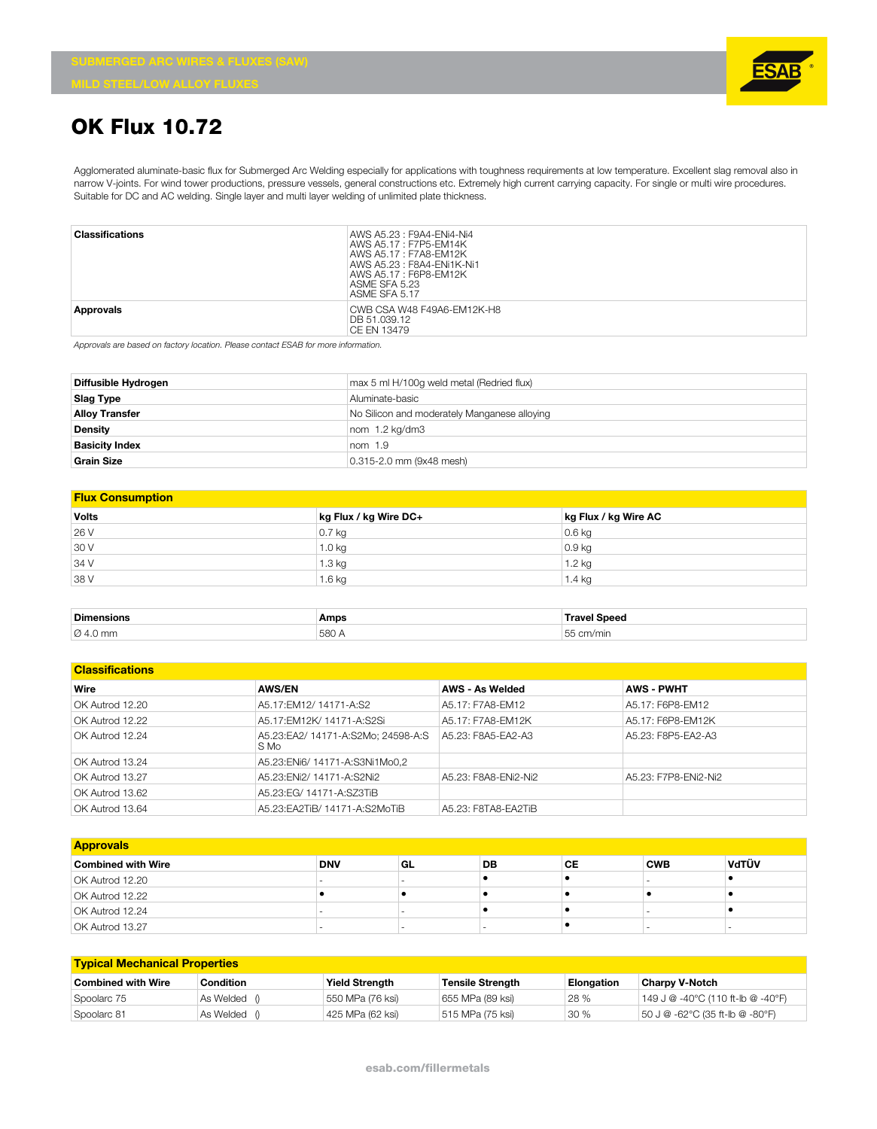

## **OK Flux 10.72**

Agglomerated aluminate-basic flux for Submerged Arc Welding especially for applications with toughness requirements at low temperature. Excellent slag removal also in narrow V-joints. For wind tower productions, pressure vessels, general constructions etc. Extremely high current carrying capacity. For single or multi wire procedures. Suitable for DC and AC welding. Single layer and multi layer welding of unlimited plate thickness.

| <b>Classifications</b> | AWS A5.23: F9A4-ENi4-Ni4<br>AWS A5.17: F7P5-EM14K<br>AWS A5.17 : F7A8-FM12K<br>AWS A5.23 : F8A4-FNi1K-Ni1<br>AWS A5.17: F6P8-EM12K<br>ASME SFA 5.23<br>ASME SFA 5.17 |
|------------------------|----------------------------------------------------------------------------------------------------------------------------------------------------------------------|
| Approvals              | CWB CSA W48 F49A6-EM12K-H8<br>DB 51.039.12<br>CE EN 13479                                                                                                            |

*Approvals are based on factory location. Please contact ESAB for more information.*

| Diffusible Hydrogen   | max 5 ml H/100g weld metal (Redried flux)    |
|-----------------------|----------------------------------------------|
| Slag Type             | Aluminate-basic                              |
| <b>Alloy Transfer</b> | No Silicon and moderately Manganese alloying |
| <b>Density</b>        | nom 1.2 kg/dm3                               |
| <b>Basicity Index</b> | nom $1.9$                                    |
| <b>Grain Size</b>     | 0.315-2.0 mm (9x48 mesh)                     |

| <b>Flux Consumption</b> |                       |                      |  |  |  |  |  |
|-------------------------|-----------------------|----------------------|--|--|--|--|--|
| <b>Volts</b>            | kg Flux / kg Wire DC+ | kg Flux / kg Wire AC |  |  |  |  |  |
| 26 V                    | $0.7$ kg              | $0.6$ kg             |  |  |  |  |  |
| 30 V                    | 1.0 kg                | $0.9$ kg             |  |  |  |  |  |
| 34 V                    | 1.3 kg                | 1.2 kg               |  |  |  |  |  |
| 38 V                    | $1.6$ kg              | 1.4 kg               |  |  |  |  |  |

| <b>Dimensions</b>    | Amps  | Travel Speed                                          |
|----------------------|-------|-------------------------------------------------------|
| $\varnothing$ 4.0 mm | 580 A | 55<br>$\sim$<br>1001r<br>`I/ I I III 1<br>ິ<br>$\sim$ |

## **Classifications Wire AWS/EN AWS - As Welded AWS - PWHT** OK Autrod 12.20 A5.17:EM12/ 14171-A:S2 A5.17: F7A8-EM12 A5.17: F6P8-EM12 OK Autrod 12.22 A5.17:EM12K/ 14171-A:S2Si A5.17: F7A8-EM12K A5.17: F6P8-EM12K OK Autrod 12.24 A5.23:EA2/ 14171-A:S2Mo; 24598-A:S S Mo A5.23: F8A5-EA2-A3 A5.23: F8P5-EA2-A3 OK Autrod 13.24 A5.23:ENi6/ 14171-A:S3Ni1Mo0,2 OK Autrod 13.27 A5.23:ENi2/ 14171-A:S2Ni2 A5.23: F8A8-ENi2-Ni2 A5.23: F7P8-ENi2-Ni2 OK Autrod 13.62 A5.23:EG/ 14171-A:SZ3TiB OK Autrod 13.64 A5.23:EA2TiB/ 14171-A:S2MoTiB A5.23: F8TA8-EA2TiB

| <b>Approvals</b>          |            |     |    |           |            |       |  |
|---------------------------|------------|-----|----|-----------|------------|-------|--|
| <b>Combined with Wire</b> | <b>DNV</b> | ∣GL | DB | <b>CE</b> | <b>CWB</b> | VdTÜV |  |
| OK Autrod 12.20           | . .        |     |    |           |            |       |  |
| OK Autrod 12.22           |            |     |    |           |            |       |  |
| OK Autrod 12.24           |            |     |    |           |            |       |  |
| OK Autrod 13.27           |            |     |    |           |            |       |  |

| <b>Typical Mechanical Properties</b> |           |                       |                         |                   |                                   |  |  |
|--------------------------------------|-----------|-----------------------|-------------------------|-------------------|-----------------------------------|--|--|
| Combined with Wire                   | Condition | <b>Yield Strength</b> | <b>Tensile Strength</b> | <b>Elongation</b> | <b>Charpy V-Notch</b>             |  |  |
| Spoolarc 75                          | As Welded | 550 MPa (76 ksi)      | 655 MPa (89 ksi)        | 28 %              | 149 J @ -40°C (110 ft-lb @ -40°F) |  |  |
| Spoolarc 81                          | As Welded | 425 MPa (62 ksi)      | 515 MPa (75 ksi)        | 30%               | 50 J @ -62°C (35 ft-lb @ -80°F)   |  |  |